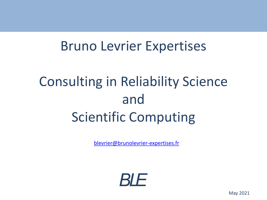# Bruno Levrier Expertises

# Consulting in Reliability Science and Scientific Computing

[blevrier@brunolevrier-expertises.fr](mailto:blevrier@brunolevrier-expertises.fr)

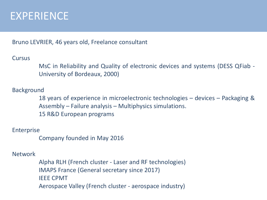### EXPERIENCE

Bruno LEVRIER, 46 years old, Freelance consultant

#### **Cursus**

MsC in Reliability and Quality of electronic devices and systems (DESS QFiab - University of Bordeaux, 2000)

#### Background

18 years of experience in microelectronic technologies – devices – Packaging & Assembly – Failure analysis – Multiphysics simulations. 15 R&D European programs

#### Enterprise

Company founded in May 2016

#### Network

Alpha RLH (French cluster - Laser and RF technologies) IMAPS France (General secretary since 2017) IEEE CPMT Aerospace Valley (French cluster - aerospace industry)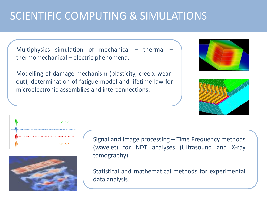# SCIENTIFIC COMPUTING & SIMULATIONS

Multiphysics simulation of mechanical – thermal – thermomechanical – electric phenomena.

Modelling of damage mechanism (plasticity, creep, wearout), determination of fatigue model and lifetime law for microelectronic assemblies and interconnections.









Signal and Image processing – Time Frequency methods (wavelet) for NDT analyses (Ultrasound and X-ray tomography).

Statistical and mathematical methods for experimental data analysis.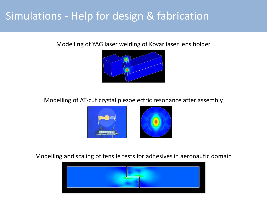### Simulations - Help for design & fabrication

Modelling of YAG laser welding of Kovar laser lens holder



Modelling of AT-cut crystal piezoelectric resonance after assembly



Modelling and scaling of tensile tests for adhesives in aeronautic domain

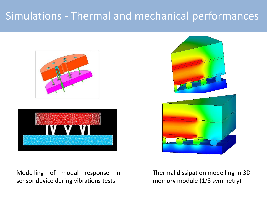# Simulations - Thermal and mechanical performances



Modelling of modal response in sensor device during vibrations tests



Thermal dissipation modelling in 3D memory module (1/8 symmetry)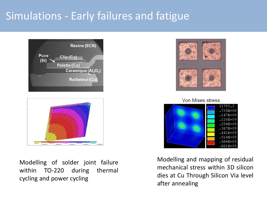# Simulations - Early failures and fatigue





Modelling of solder joint failure within TO-220 during thermal cycling and power cycling



Von Mises stress



Modelling and mapping of residual mechanical stress within 3D silicon dies at Cu Through Silicon Via level after annealing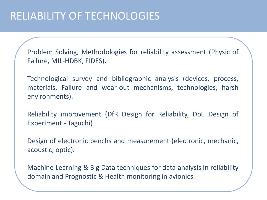### RELIABILITY OF TECHNOLOGIES

Problem Solving, Methodologies for reliability assessment (Physic of Failure, MIL-HDBK, FIDES).

Technological survey and bibliographic analysis (devices, process, materials, Failure and wear-out mechanisms, technologies, harsh environments).

Reliability improvement (DfR Design for Reliability, DoE Design of Experiment - Taguchi)

Design of electronic benchs and measurement (electronic, mechanic, acoustic, optic).

Machine Learning & Big Data techniques for data analysis in reliability domain and Prognostic & Health monitoring in avionics.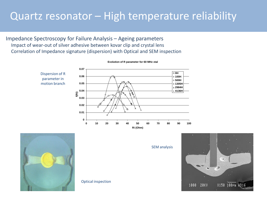### Quartz resonator – High temperature reliability

Impedance Spectroscopy for Failure Analysis – Ageing parameters Impact of wear-out of silver adhesive between kovar clip and crystal lens Correlation of Impedance signature (dispersion) with Optical and SEM inspection

Optical inspection



**Evolution of R parameter for 60 MHz xtal**



SEM analysis

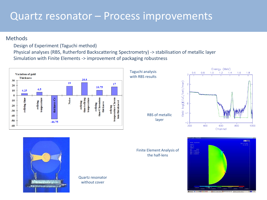### Quartz resonator – Process improvements

#### Methods

Design of Experiment (Taguchi method)

Physical analyses (RBS, Rutherford Backscattering Spectrometry) -> stabilisation of metallic layer Simulation with Finite Elements -> improvement of packaging robustness

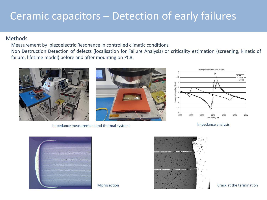### Ceramic capacitors – Detection of early failures

#### Methods

Measurement by piezoelectric Resonance in controlled climatic conditions Non Destruction Detection of defects (localisation for Failure Analysis) or criticality estimation (screening, kinetic of failure, lifetime model) before and after mounting on PCB.



Impedance analysis Impedance measurement and thermal systems





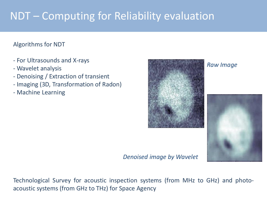# NDT – Computing for Reliability evaluation

#### Algorithms for NDT

- For Ultrasounds and X-rays
- Wavelet analysis
- Denoising / Extraction of transient
- Imaging (3D, Transformation of Radon)
- Machine Learning



*Raw Image*



*Denoised image by Wavelet*

Technological Survey for acoustic inspection systems (from MHz to GHz) and photoacoustic systems (from GHz to THz) for Space Agency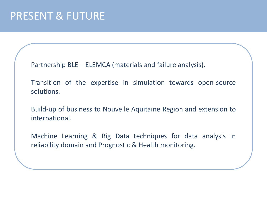### PRESENT & FUTURE

Partnership BLE – ELEMCA (materials and failure analysis).

Transition of the expertise in simulation towards open-source solutions.

Build-up of business to Nouvelle Aquitaine Region and extension to international.

Machine Learning & Big Data techniques for data analysis in reliability domain and Prognostic & Health monitoring.